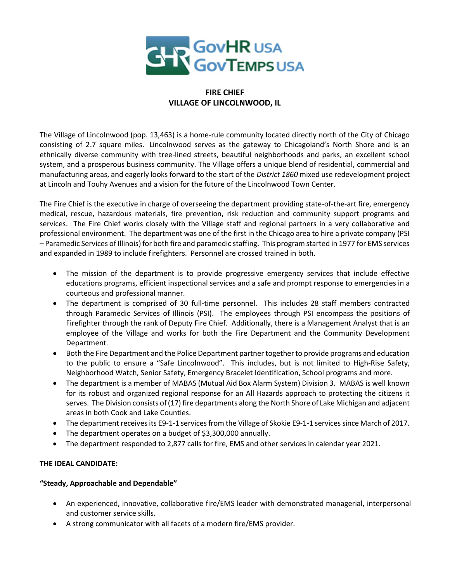

# FIRE CHIEF VILLAGE OF LINCOLNWOOD, IL

The Village of Lincolnwood (pop. 13,463) is a home-rule community located directly north of the City of Chicago consisting of 2.7 square miles. Lincolnwood serves as the gateway to Chicagoland's North Shore and is an ethnically diverse community with tree-lined streets, beautiful neighborhoods and parks, an excellent school system, and a prosperous business community. The Village offers a unique blend of residential, commercial and manufacturing areas, and eagerly looks forward to the start of the District 1860 mixed use redevelopment project at Lincoln and Touhy Avenues and a vision for the future of the Lincolnwood Town Center.

The Fire Chief is the executive in charge of overseeing the department providing state-of-the-art fire, emergency medical, rescue, hazardous materials, fire prevention, risk reduction and community support programs and services. The Fire Chief works closely with the Village staff and regional partners in a very collaborative and professional environment. The department was one of the first in the Chicago area to hire a private company (PSI – Paramedic Services of Illinois) for both fire and paramedic staffing. This program started in 1977 for EMS services and expanded in 1989 to include firefighters. Personnel are crossed trained in both.

- The mission of the department is to provide progressive emergency services that include effective educations programs, efficient inspectional services and a safe and prompt response to emergencies in a courteous and professional manner.
- The department is comprised of 30 full-time personnel. This includes 28 staff members contracted through Paramedic Services of Illinois (PSI). The employees through PSI encompass the positions of Firefighter through the rank of Deputy Fire Chief. Additionally, there is a Management Analyst that is an employee of the Village and works for both the Fire Department and the Community Development Department.
- Both the Fire Department and the Police Department partner together to provide programs and education to the public to ensure a "Safe Lincolnwood". This includes, but is not limited to High-Rise Safety, Neighborhood Watch, Senior Safety, Emergency Bracelet Identification, School programs and more.
- The department is a member of MABAS (Mutual Aid Box Alarm System) Division 3. MABAS is well known for its robust and organized regional response for an All Hazards approach to protecting the citizens it serves. The Division consists of (17) fire departments along the North Shore of Lake Michigan and adjacent areas in both Cook and Lake Counties.
- The department receives its E9-1-1 services from the Village of Skokie E9-1-1 services since March of 2017.
- The department operates on a budget of \$3,300,000 annually.
- The department responded to 2,877 calls for fire, EMS and other services in calendar year 2021.

# THE IDEAL CANDIDATE:

# "Steady, Approachable and Dependable"

- An experienced, innovative, collaborative fire/EMS leader with demonstrated managerial, interpersonal and customer service skills.
- A strong communicator with all facets of a modern fire/EMS provider.